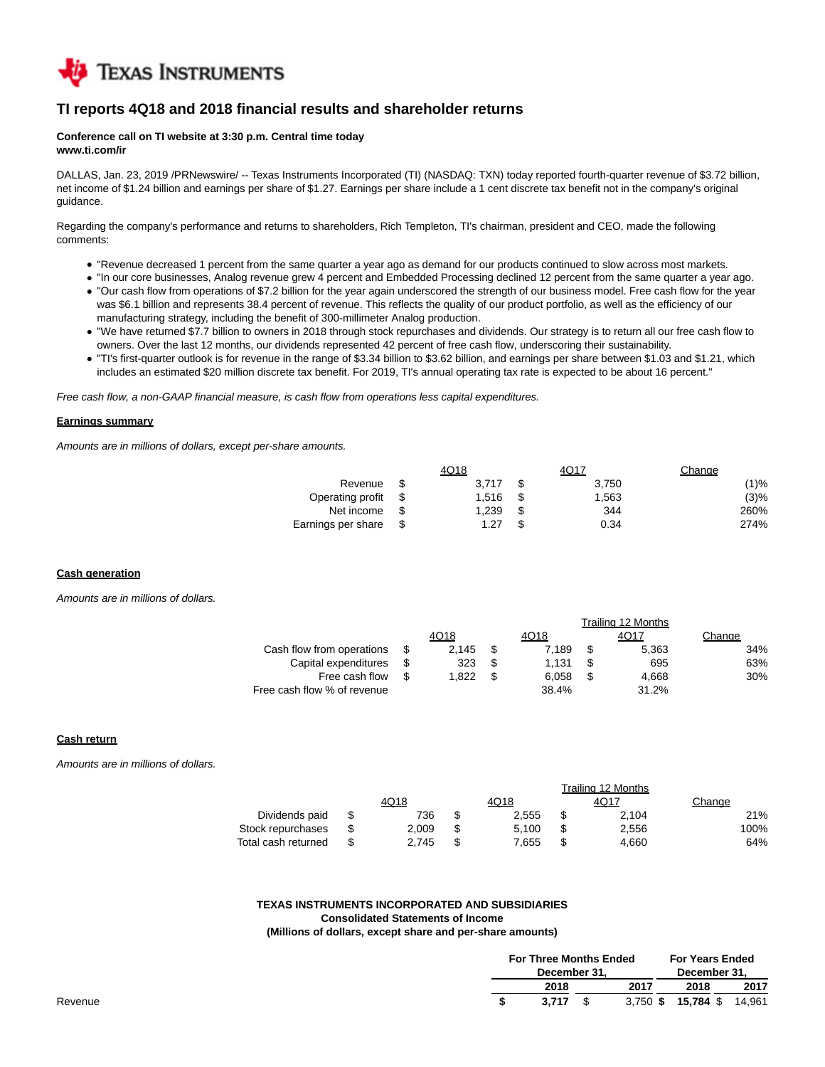

## **TI reports 4Q18 and 2018 financial results and shareholder returns**

#### **Conference call on TI website at 3:30 p.m. Central time today www.ti.com/ir**

DALLAS, Jan. 23, 2019 /PRNewswire/ -- Texas Instruments Incorporated (TI) (NASDAQ: TXN) today reported fourth-quarter revenue of \$3.72 billion, net income of \$1.24 billion and earnings per share of \$1.27. Earnings per share include a 1 cent discrete tax benefit not in the company's original guidance.

Regarding the company's performance and returns to shareholders, Rich Templeton, TI's chairman, president and CEO, made the following comments:

- "Revenue decreased 1 percent from the same quarter a year ago as demand for our products continued to slow across most markets.
- "In our core businesses, Analog revenue grew 4 percent and Embedded Processing declined 12 percent from the same quarter a year ago. "Our cash flow from operations of \$7.2 billion for the year again underscored the strength of our business model. Free cash flow for the year was \$6.1 billion and represents 38.4 percent of revenue. This reflects the quality of our product portfolio, as well as the efficiency of our manufacturing strategy, including the benefit of 300-millimeter Analog production.
- "We have returned \$7.7 billion to owners in 2018 through stock repurchases and dividends. Our strategy is to return all our free cash flow to owners. Over the last 12 months, our dividends represented 42 percent of free cash flow, underscoring their sustainability.
- "TI's first-quarter outlook is for revenue in the range of \$3.34 billion to \$3.62 billion, and earnings per share between \$1.03 and \$1.21, which includes an estimated \$20 million discrete tax benefit. For 2019, TI's annual operating tax rate is expected to be about 16 percent."

Free cash flow, a non-GAAP financial measure, is cash flow from operations less capital expenditures.

### **Earnings summary**

Amounts are in millions of dollars, except per-share amounts.

|                    | 4Q18  |     | 4Q17  | Change |
|--------------------|-------|-----|-------|--------|
| Revenue            | 3.717 | \$. | 3.750 | (1)%   |
| Operating profit   | 1.516 | \$. | 1.563 | (3)%   |
| Net income         | 1.239 | \$. | 344   | 260%   |
| Earnings per share | 1.27  |     | 0.34  | 274%   |

Trailing 12 Months

 $T$   $\ddot{\theta}$   $\ddot{\theta}$   $\ddot{\theta}$   $\ddot{\theta}$   $\ddot{\theta}$   $\ddot{\theta}$   $\ddot{\theta}$   $\ddot{\theta}$   $\ddot{\theta}$   $\ddot{\theta}$   $\ddot{\theta}$   $\ddot{\theta}$   $\ddot{\theta}$   $\ddot{\theta}$   $\ddot{\theta}$   $\ddot{\theta}$   $\ddot{\theta}$   $\ddot{\theta}$   $\ddot{\theta}$   $\ddot{\theta}$   $\ddot{\theta}$   $\ddot{\theta}$   $\ddot{\theta}$   $\ddot{\theta}$ 

#### **Cash generation**

Amounts are in millions of dollars.

|                             |  |       |    |       | <u>Tialilliu TZ MUNIUS</u> |        |
|-----------------------------|--|-------|----|-------|----------------------------|--------|
|                             |  | 4Q18  |    | 4Q18  | 4Q17                       | Change |
| Cash flow from operations   |  | 2.145 |    | 7.189 | 5.363                      | 34%    |
| Capital expenditures        |  | 323   | S  | 1.131 | 695                        | 63%    |
| Free cash flow              |  | 1.822 | £. | 6.058 | 4.668                      | 30%    |
| Free cash flow % of revenue |  |       |    | 38.4% | 31.2%                      |        |

#### **Cash return**

Amounts are in millions of dollars.

|                     | I railing 12 Months |  |       |  |       |        |  |  |  |  |
|---------------------|---------------------|--|-------|--|-------|--------|--|--|--|--|
|                     | 4Q18                |  | 4Q18  |  | 4Q17  | Change |  |  |  |  |
| Dividends paid      | 736                 |  | 2.555 |  | 2.104 | 21%    |  |  |  |  |
| Stock repurchases   | 2.009               |  | 5.100 |  | 2.556 | 100%   |  |  |  |  |
| Total cash returned | 2.745               |  | 7.655 |  | 4.660 | 64%    |  |  |  |  |

## **TEXAS INSTRUMENTS INCORPORATED AND SUBSIDIARIES**

### **Consolidated Statements of Income**

#### **(Millions of dollars, except share and per-share amounts)**

| <b>For Three Months Ended</b><br>December 31. |      | <b>For Years Ended</b><br>December 31, |      |  |
|-----------------------------------------------|------|----------------------------------------|------|--|
| 2018                                          | 2017 | 2018                                   | 2017 |  |
| 3.717                                         |      | 3,750 \$ 15,784 \$ 14,961              |      |  |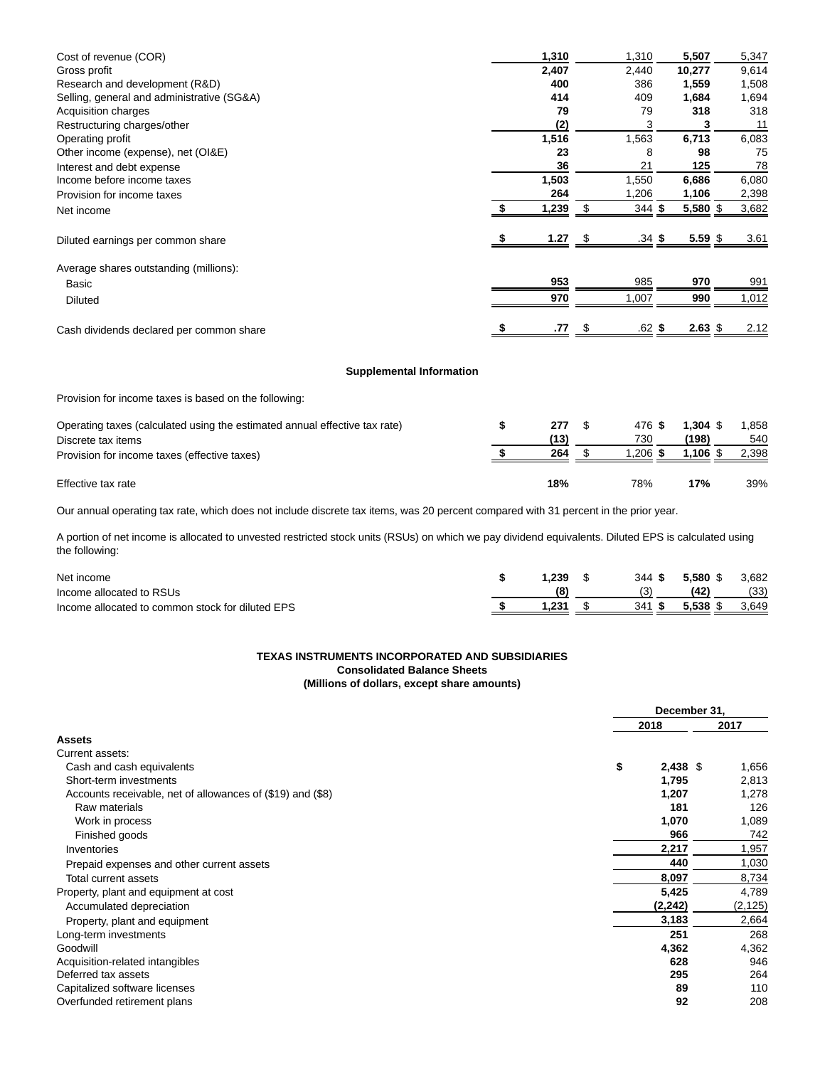| Cost of revenue (COR)                      | 1,310 |      | 1,310    | 5,507      | 5,347 |
|--------------------------------------------|-------|------|----------|------------|-------|
| Gross profit                               | 2,407 |      | 2,440    | 10,277     | 9,614 |
| Research and development (R&D)             | 400   |      | 386      | 1,559      | 1,508 |
| Selling, general and administrative (SG&A) | 414   |      | 409      | 1,684      | 1,694 |
| Acquisition charges                        | 79    |      | 79       | 318        | 318   |
| Restructuring charges/other                | (2)   |      | 3        | 3          | 11    |
| Operating profit                           | 1,516 |      | 1,563    | 6,713      | 6,083 |
| Other income (expense), net (OI&E)         | 23    |      | 8        | 98         | 75    |
| Interest and debt expense                  | 36    |      | 21       | 125        | 78    |
| Income before income taxes                 | 1,503 |      | 1,550    | 6,686      | 6,080 |
| Provision for income taxes                 | 264   |      | 1,206    | 1,106      | 2,398 |
| Net income                                 | 1,239 |      | 344S     | $5,580$ \$ | 3,682 |
| Diluted earnings per common share          | 1.27  | - \$ | $.34$ \$ | $5.59$ \$  | 3.61  |
| Average shares outstanding (millions):     |       |      |          |            |       |
| Basic                                      | 953   |      | 985      | 970        | 991   |
| <b>Diluted</b>                             | 970   |      | 1,007    | 990        | 1,012 |
| Cash dividends declared per common share   | .77   |      | $.62$ \$ | $2.63~\$$  | 2.12  |
| <b>Supplemental Information</b>            |       |      |          |            |       |

Provision for income taxes is based on the following:

| Operating taxes (calculated using the estimated annual effective tax rate)<br>Discrete tax items<br>Provision for income taxes (effective taxes) | 277<br>(13)<br>264 | 476 \$<br>730<br>$.206$ \$ | $1.304$ \$<br>(198)<br>1.106 \$ | 1.858<br>540<br>2.398 |
|--------------------------------------------------------------------------------------------------------------------------------------------------|--------------------|----------------------------|---------------------------------|-----------------------|
| Effective tax rate                                                                                                                               | 18%                | 78%                        | 17%                             | 39%                   |

Our annual operating tax rate, which does not include discrete tax items, was 20 percent compared with 31 percent in the prior year.

A portion of net income is allocated to unvested restricted stock units (RSUs) on which we pay dividend equivalents. Diluted EPS is calculated using the following:

| Net income                                       | 239 | 344 S | 5.580 \$ | 3,682 |
|--------------------------------------------------|-----|-------|----------|-------|
| Income allocated to RSUs                         |     |       | (42)     | (33)  |
| Income allocated to common stock for diluted EPS |     | 341S  | 5.538    | 3.649 |

# **TEXAS INSTRUMENTS INCORPORATED AND SUBSIDIARIES**

# **Consolidated Balance Sheets**

**(Millions of dollars, except share amounts)**

|                                                            | December 31. |            |         |  |  |
|------------------------------------------------------------|--------------|------------|---------|--|--|
|                                                            |              | 2018       | 2017    |  |  |
| <b>Assets</b>                                              |              |            |         |  |  |
| Current assets:                                            |              |            |         |  |  |
| Cash and cash equivalents                                  | \$           | $2,438$ \$ | 1,656   |  |  |
| Short-term investments                                     |              | 1,795      | 2,813   |  |  |
| Accounts receivable, net of allowances of (\$19) and (\$8) |              | 1,207      | 1,278   |  |  |
| Raw materials                                              |              | 181        | 126     |  |  |
| Work in process                                            |              | 1,070      | 1,089   |  |  |
| Finished goods                                             |              | 966        | 742     |  |  |
| Inventories                                                |              | 2,217      | 1,957   |  |  |
| Prepaid expenses and other current assets                  |              | 440        | 1,030   |  |  |
| Total current assets                                       |              | 8,097      | 8,734   |  |  |
| Property, plant and equipment at cost                      |              | 5,425      | 4,789   |  |  |
| Accumulated depreciation                                   |              | (2, 242)   | (2,125) |  |  |
| Property, plant and equipment                              |              | 3,183      | 2,664   |  |  |
| Long-term investments                                      |              | 251        | 268     |  |  |
| Goodwill                                                   |              | 4,362      | 4,362   |  |  |
| Acquisition-related intangibles                            |              | 628        | 946     |  |  |
| Deferred tax assets                                        |              | 295        | 264     |  |  |
| Capitalized software licenses                              |              | 89         | 110     |  |  |
| Overfunded retirement plans                                |              | 92         | 208     |  |  |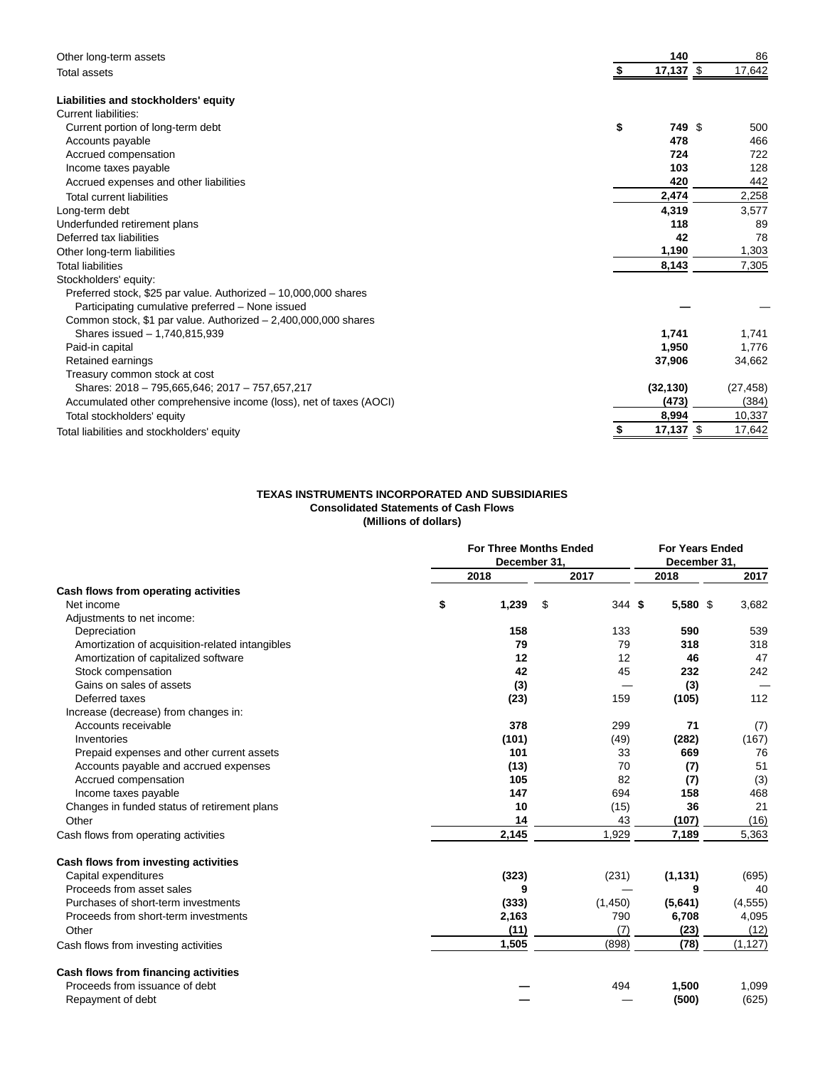| Other long-term assets                                             | 140               | 86        |
|--------------------------------------------------------------------|-------------------|-----------|
| <b>Total assets</b>                                                | $17,137$ \$       | 17,642    |
| Liabilities and stockholders' equity                               |                   |           |
| <b>Current liabilities:</b>                                        |                   |           |
| Current portion of long-term debt                                  | \$<br>749 \$      | 500       |
| Accounts payable                                                   | 478               | 466       |
| Accrued compensation                                               | 724               | 722       |
| Income taxes payable                                               | 103               | 128       |
| Accrued expenses and other liabilities                             | 420               | 442       |
| <b>Total current liabilities</b>                                   | 2,474             | 2,258     |
| Long-term debt                                                     | 4,319             | 3,577     |
| Underfunded retirement plans                                       | 118               | 89        |
| Deferred tax liabilities                                           | 42                | 78        |
| Other long-term liabilities                                        | 1,190             | 1,303     |
| <b>Total liabilities</b>                                           | 8,143             | 7,305     |
| Stockholders' equity:                                              |                   |           |
| Preferred stock, \$25 par value. Authorized - 10,000,000 shares    |                   |           |
| Participating cumulative preferred - None issued                   |                   |           |
| Common stock, \$1 par value. Authorized $-2,400,000,000$ shares    |                   |           |
| Shares issued - 1,740,815,939                                      | 1,741             | 1,741     |
| Paid-in capital                                                    | 1,950             | 1,776     |
| Retained earnings                                                  | 37,906            | 34,662    |
| Treasury common stock at cost                                      |                   |           |
| Shares: 2018 - 795,665,646; 2017 - 757,657,217                     | (32, 130)         | (27, 458) |
| Accumulated other comprehensive income (loss), net of taxes (AOCI) | (473)             | (384)     |
| Total stockholders' equity                                         | 8,994             | 10,337    |
| Total liabilities and stockholders' equity                         | $17,137$ \$<br>\$ | 17,642    |

## **TEXAS INSTRUMENTS INCORPORATED AND SUBSIDIARIES Consolidated Statements of Cash Flows (Millions of dollars)**

|                                                 |      | <b>For Three Months Ended</b><br>December 31, |      |         | <b>For Years Ended</b><br>December 31, |          |  |          |
|-------------------------------------------------|------|-----------------------------------------------|------|---------|----------------------------------------|----------|--|----------|
|                                                 | 2018 | 2017                                          | 2018 |         |                                        | 2017     |  |          |
| Cash flows from operating activities            |      |                                               |      |         |                                        |          |  |          |
| Net income                                      | \$   | 1,239                                         | \$   | 344S    |                                        | 5,580 \$ |  | 3,682    |
| Adjustments to net income:                      |      |                                               |      |         |                                        |          |  |          |
| Depreciation                                    |      | 158                                           |      | 133     |                                        | 590      |  | 539      |
| Amortization of acquisition-related intangibles |      | 79                                            |      | 79      |                                        | 318      |  | 318      |
| Amortization of capitalized software            |      | 12                                            |      | 12      |                                        | 46       |  | 47       |
| Stock compensation                              |      | 42                                            |      | 45      |                                        | 232      |  | 242      |
| Gains on sales of assets                        |      | (3)                                           |      |         |                                        | (3)      |  |          |
| Deferred taxes                                  |      | (23)                                          |      | 159     |                                        | (105)    |  | 112      |
| Increase (decrease) from changes in:            |      |                                               |      |         |                                        |          |  |          |
| Accounts receivable                             |      | 378                                           |      | 299     |                                        | 71       |  | (7)      |
| Inventories                                     |      | (101)                                         |      | (49)    |                                        | (282)    |  | (167)    |
| Prepaid expenses and other current assets       |      | 101                                           |      | 33      |                                        | 669      |  | 76       |
| Accounts payable and accrued expenses           |      | (13)                                          |      | 70      |                                        | (7)      |  | 51       |
| Accrued compensation                            |      | 105                                           |      | 82      |                                        | (7)      |  | (3)      |
| Income taxes payable                            |      | 147                                           |      | 694     |                                        | 158      |  | 468      |
| Changes in funded status of retirement plans    |      | 10                                            |      | (15)    |                                        | 36       |  | 21       |
| Other                                           |      | 14                                            |      | 43      |                                        | (107)    |  | (16)     |
| Cash flows from operating activities            |      | 2,145                                         |      | 1,929   |                                        | 7,189    |  | 5,363    |
| Cash flows from investing activities            |      |                                               |      |         |                                        |          |  |          |
| Capital expenditures                            |      | (323)                                         |      | (231)   |                                        | (1, 131) |  | (695)    |
| Proceeds from asset sales                       |      | 9                                             |      |         |                                        | 9        |  | 40       |
| Purchases of short-term investments             |      | (333)                                         |      | (1,450) |                                        | (5,641)  |  | (4, 555) |
| Proceeds from short-term investments            |      | 2,163                                         |      | 790     |                                        | 6,708    |  | 4,095    |
| Other                                           |      | (11)                                          |      | (7)     |                                        | (23)     |  | (12)     |
| Cash flows from investing activities            |      | 1,505                                         |      | (898)   |                                        | (78)     |  | (1, 127) |
| Cash flows from financing activities            |      |                                               |      |         |                                        |          |  |          |
| Proceeds from issuance of debt                  |      |                                               |      | 494     |                                        | 1,500    |  | 1,099    |
| Repayment of debt                               |      |                                               |      |         |                                        | (500)    |  | (625)    |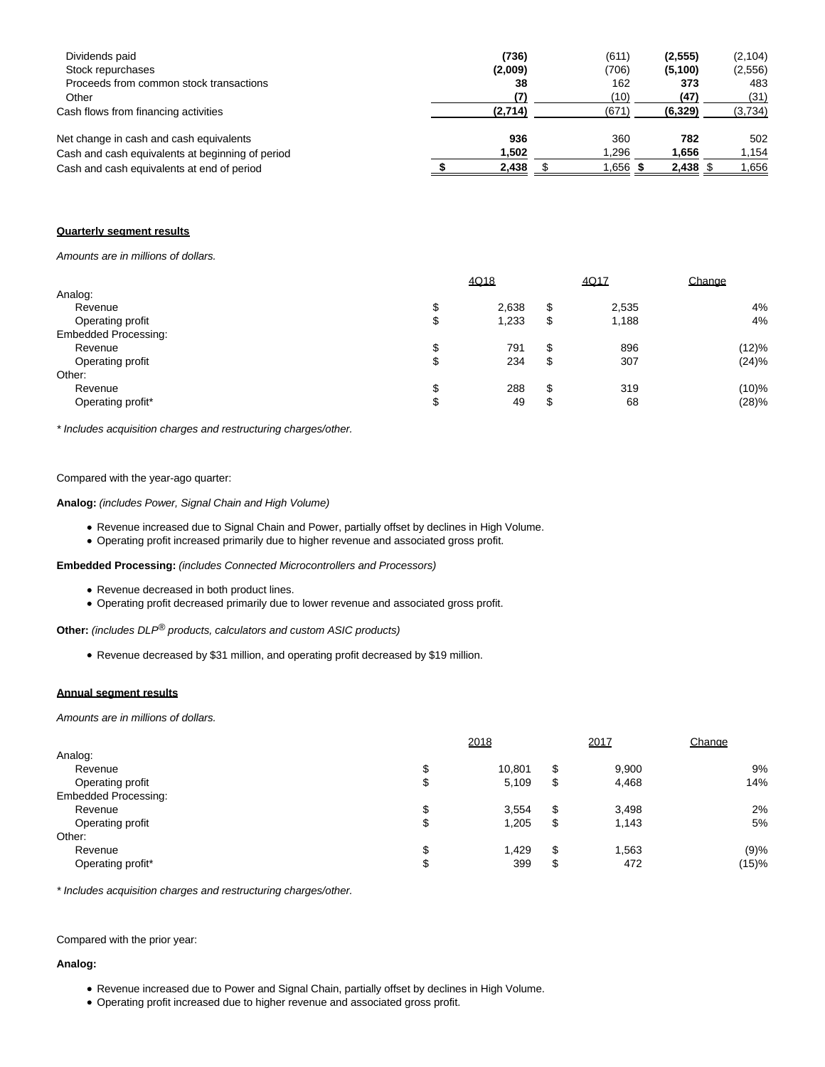| Dividends paid<br>Stock repurchases              | (736)<br>(2,009) | (611)<br>(706) | (2, 555)<br>(5, 100) | (2, 104)<br>(2,556) |
|--------------------------------------------------|------------------|----------------|----------------------|---------------------|
| Proceeds from common stock transactions          | 38               | 162            | 373                  | 483                 |
| Other                                            | (7)              | (10)           | (47)                 | (31)                |
| Cash flows from financing activities             | (2,714)          | (671)          | (6, 329)             | (3,734)             |
| Net change in cash and cash equivalents          | 936              | 360            | 782                  | 502                 |
| Cash and cash equivalents at beginning of period | 1.502            | 1.296          | 1.656                | 1,154               |
| Cash and cash equivalents at end of period       | 2,438            | 1.656          | $2,438$ \$           | 1,656               |

## **Quarterly segment results**

Amounts are in millions of dollars.

| 4Q18  |    |       | Change |  |
|-------|----|-------|--------|--|
|       |    |       |        |  |
| 2,638 | \$ | 2,535 | 4%     |  |
| 1,233 | \$ | 1,188 | 4%     |  |
|       |    |       |        |  |
| 791   | \$ | 896   | (12)%  |  |
| 234   | \$ | 307   | (24)%  |  |
|       |    |       |        |  |
| 288   | \$ | 319   | (10)%  |  |
| 49    | \$ | 68    | (28)%  |  |
|       |    |       | 4Q17   |  |

\* Includes acquisition charges and restructuring charges/other.

### Compared with the year-ago quarter:

**Analog:** (includes Power, Signal Chain and High Volume)

- Revenue increased due to Signal Chain and Power, partially offset by declines in High Volume.
- Operating profit increased primarily due to higher revenue and associated gross profit.

**Embedded Processing:** (includes Connected Microcontrollers and Processors)

- Revenue decreased in both product lines.
- Operating profit decreased primarily due to lower revenue and associated gross profit.

**Other:** (includes DLP<sup>®</sup> products, calculators and custom ASIC products)

Revenue decreased by \$31 million, and operating profit decreased by \$19 million.

#### **Annual segment results**

Amounts are in millions of dollars.

|                             | 2018 |        | 2017 |       | Change |  |
|-----------------------------|------|--------|------|-------|--------|--|
| Analog:                     |      |        |      |       |        |  |
| Revenue                     | \$   | 10,801 | \$   | 9,900 | 9%     |  |
| Operating profit            | \$   | 5,109  | \$   | 4,468 | 14%    |  |
| <b>Embedded Processing:</b> |      |        |      |       |        |  |
| Revenue                     | \$   | 3,554  | \$   | 3,498 | 2%     |  |
| Operating profit            | \$   | 1,205  | \$   | 1,143 | 5%     |  |
| Other:                      |      |        |      |       |        |  |
| Revenue                     | \$   | 1.429  | \$   | 1,563 | (9)%   |  |
| Operating profit*           | \$   | 399    | \$   | 472   | (15)%  |  |

\* Includes acquisition charges and restructuring charges/other.

Compared with the prior year:

## **Analog:**

- Revenue increased due to Power and Signal Chain, partially offset by declines in High Volume.
- Operating profit increased due to higher revenue and associated gross profit.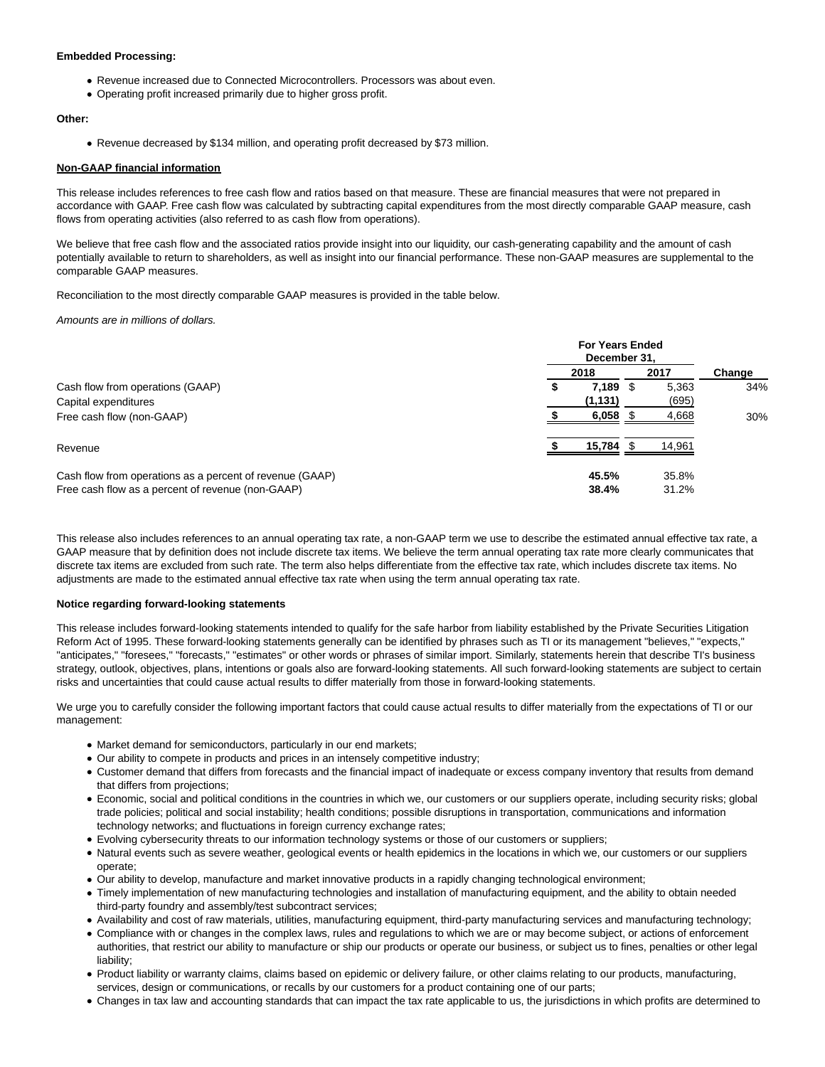#### **Embedded Processing:**

- Revenue increased due to Connected Microcontrollers. Processors was about even.
- Operating profit increased primarily due to higher gross profit.

## **Other:**

Revenue decreased by \$134 million, and operating profit decreased by \$73 million.

#### **Non-GAAP financial information**

This release includes references to free cash flow and ratios based on that measure. These are financial measures that were not prepared in accordance with GAAP. Free cash flow was calculated by subtracting capital expenditures from the most directly comparable GAAP measure, cash flows from operating activities (also referred to as cash flow from operations).

We believe that free cash flow and the associated ratios provide insight into our liquidity, our cash-generating capability and the amount of cash potentially available to return to shareholders, as well as insight into our financial performance. These non-GAAP measures are supplemental to the comparable GAAP measures.

Reconciliation to the most directly comparable GAAP measures is provided in the table below.

Amounts are in millions of dollars.

|                                                          | <b>For Years Ended</b><br>December 31. |           |      |        |        |
|----------------------------------------------------------|----------------------------------------|-----------|------|--------|--------|
|                                                          |                                        | 2018      |      | 2017   | Change |
| Cash flow from operations (GAAP)                         | \$                                     | 7.189     | - \$ | 5.363  | 34%    |
| Capital expenditures                                     |                                        | (1, 131)  |      | (695)  |        |
| Free cash flow (non-GAAP)                                |                                        | 6,058     |      | 4,668  | 30%    |
| Revenue                                                  |                                        | 15,784 \$ |      | 14,961 |        |
| Cash flow from operations as a percent of revenue (GAAP) |                                        | 45.5%     |      | 35.8%  |        |
| Free cash flow as a percent of revenue (non-GAAP)        |                                        | 38.4%     |      | 31.2%  |        |

This release also includes references to an annual operating tax rate, a non-GAAP term we use to describe the estimated annual effective tax rate, a GAAP measure that by definition does not include discrete tax items. We believe the term annual operating tax rate more clearly communicates that discrete tax items are excluded from such rate. The term also helps differentiate from the effective tax rate, which includes discrete tax items. No adjustments are made to the estimated annual effective tax rate when using the term annual operating tax rate.

#### **Notice regarding forward-looking statements**

This release includes forward-looking statements intended to qualify for the safe harbor from liability established by the Private Securities Litigation Reform Act of 1995. These forward-looking statements generally can be identified by phrases such as TI or its management "believes," "expects," "anticipates," "foresees," "forecasts," "estimates" or other words or phrases of similar import. Similarly, statements herein that describe TI's business strategy, outlook, objectives, plans, intentions or goals also are forward-looking statements. All such forward-looking statements are subject to certain risks and uncertainties that could cause actual results to differ materially from those in forward-looking statements.

We urge you to carefully consider the following important factors that could cause actual results to differ materially from the expectations of TI or our management:

- Market demand for semiconductors, particularly in our end markets;
- Our ability to compete in products and prices in an intensely competitive industry;
- Customer demand that differs from forecasts and the financial impact of inadequate or excess company inventory that results from demand that differs from projections;
- Economic, social and political conditions in the countries in which we, our customers or our suppliers operate, including security risks; global trade policies; political and social instability; health conditions; possible disruptions in transportation, communications and information technology networks; and fluctuations in foreign currency exchange rates;
- Evolving cybersecurity threats to our information technology systems or those of our customers or suppliers;
- Natural events such as severe weather, geological events or health epidemics in the locations in which we, our customers or our suppliers operate;
- Our ability to develop, manufacture and market innovative products in a rapidly changing technological environment;
- Timely implementation of new manufacturing technologies and installation of manufacturing equipment, and the ability to obtain needed third-party foundry and assembly/test subcontract services;
- Availability and cost of raw materials, utilities, manufacturing equipment, third-party manufacturing services and manufacturing technology;
- Compliance with or changes in the complex laws, rules and regulations to which we are or may become subject, or actions of enforcement authorities, that restrict our ability to manufacture or ship our products or operate our business, or subject us to fines, penalties or other legal liability;
- Product liability or warranty claims, claims based on epidemic or delivery failure, or other claims relating to our products, manufacturing, services, design or communications, or recalls by our customers for a product containing one of our parts;
- Changes in tax law and accounting standards that can impact the tax rate applicable to us, the jurisdictions in which profits are determined to